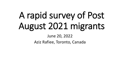# A rapid survey of Post August 2021 migrants

### June 20, 2022

Aziz Rafiee, Toronto, Canada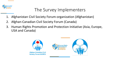

## The Survey Implementers

- 1. Afghanistan Civil Society Forum-organization (Afghanistan)
- 2. Afghan-Canadian Civil Society Forum (Canada)
- 3. Human Rights Promotion and Protection Initiative (Asia, Europe, USA and Canada)



**Afghan-Canadian Civil Society Forum (ACSFO)** 



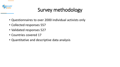

# Survey methodology

- Questionnaires to over 2000 individual activists only
- Collected responses 557
- Validated responses 527
- Countries covered 17
- Quantitative and descriptive data analysis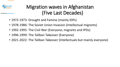

# Migration waves in Afghanistan (Five Last Decades)

- 1972-1973: Drought and Famine (mainly IDPs)
- 1978-1986: The Soviet Union Invasion (Intellectual migrants)
- 1992-1995: The Civil War (Everyone; migrants and IPDs)
- 1996-1999: The Taliban Takeover (Everyone)
- 2021-2022: The Taliban Takeover (Intellectuals but mainly everyone)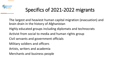

# Specifics of 2021-2022 migrants

The largest and heaviest human capital migration (evacuation) and brain drain in the history of Afghanistan

- Highly educated groups including diplomats and technocrats
- Activist from social to media and human rights group
- Civil servants and government officials
- Military soldiers and officers
- Artists, writers and academia
- Merchants and business people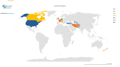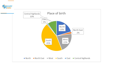

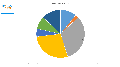Profession/Designation



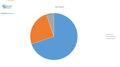

Age category



**18-35 (Youth)** 36-55 (Middle age) 56 Above (old age)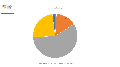

#### Your education level

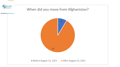

### When did you move from Afghanistan?

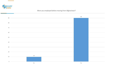

Were you employed before moving from Afghanistan?

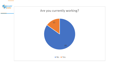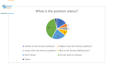

### What is the position status?



- Similar to the former position? Figher than the former position?
- Lower than the former position? Not in the former field/sector?
- Don't know

Do not want to answer

 $\blacksquare$  Other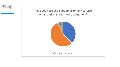

Have you received support from any service organization in the new destination?

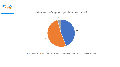

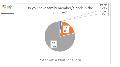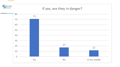

### If yes, are they in danger?

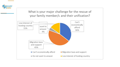

What is your major challenge for the rescue of your family member/s and their unification?

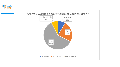

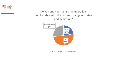

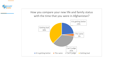

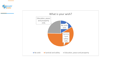

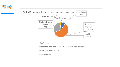